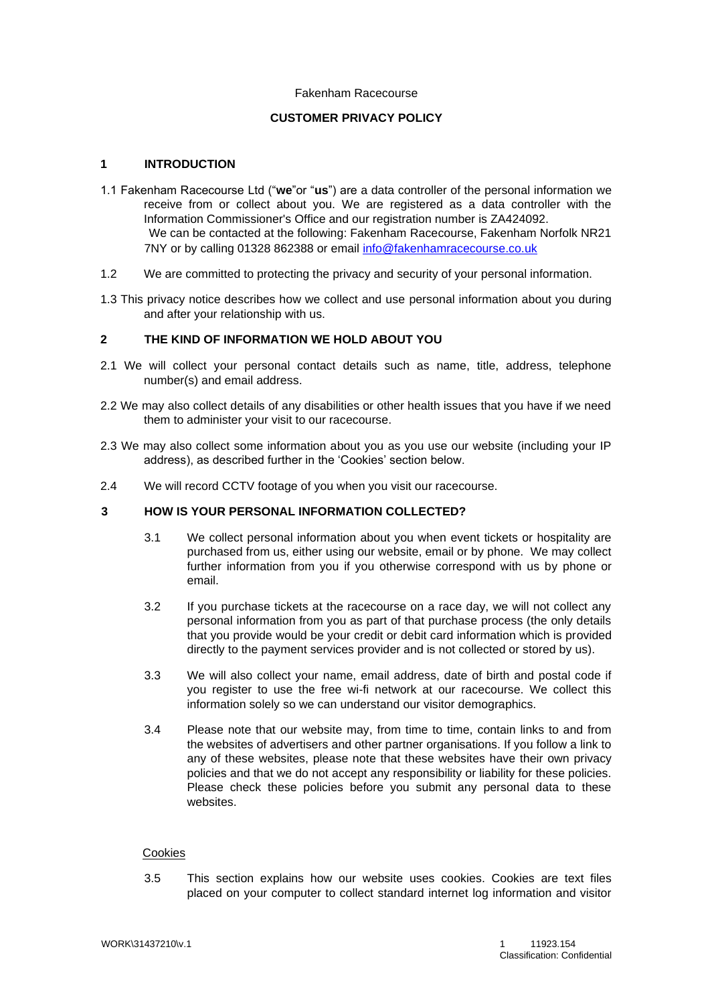### Fakenham Racecourse

# **CUSTOMER PRIVACY POLICY**

## **1 INTRODUCTION**

- 1.1 Fakenham Racecourse Ltd ("**we**"or "**us**") are a data controller of the personal information we receive from or collect about you. We are registered as a data controller with the Information Commissioner's Office and our registration number is ZA424092. We can be contacted at the following: Fakenham Racecourse, Fakenham Norfolk NR21 7NY or by calling 01328 862388 or email info@fakenhamracecourse.co.uk
- 1.2 We are committed to protecting the privacy and security of your personal information.
- 1.3 This privacy notice describes how we collect and use personal information about you during and after your relationship with us.

## **2 THE KIND OF INFORMATION WE HOLD ABOUT YOU**

- 2.1 We will collect your personal contact details such as name, title, address, telephone number(s) and email address.
- 2.2 We may also collect details of any disabilities or other health issues that you have if we need them to administer your visit to our racecourse.
- 2.3 We may also collect some information about you as you use our website (including your IP address), as described further in the 'Cookies' section below.
- 2.4 We will record CCTV footage of you when you visit our racecourse.

## **3 HOW IS YOUR PERSONAL INFORMATION COLLECTED?**

- 3.1 We collect personal information about you when event tickets or hospitality are purchased from us, either using our website, email or by phone. We may collect further information from you if you otherwise correspond with us by phone or email.
- 3.2 If you purchase tickets at the racecourse on a race day, we will not collect any personal information from you as part of that purchase process (the only details that you provide would be your credit or debit card information which is provided directly to the payment services provider and is not collected or stored by us).
- 3.3 We will also collect your name, email address, date of birth and postal code if you register to use the free wi-fi network at our racecourse. We collect this information solely so we can understand our visitor demographics.
- 3.4 Please note that our website may, from time to time, contain links to and from the websites of advertisers and other partner organisations. If you follow a link to any of these websites, please note that these websites have their own privacy policies and that we do not accept any responsibility or liability for these policies. Please check these policies before you submit any personal data to these websites.

## Cookies

3.5 This section explains how our website uses cookies. Cookies are text files placed on your computer to collect standard internet log information and visitor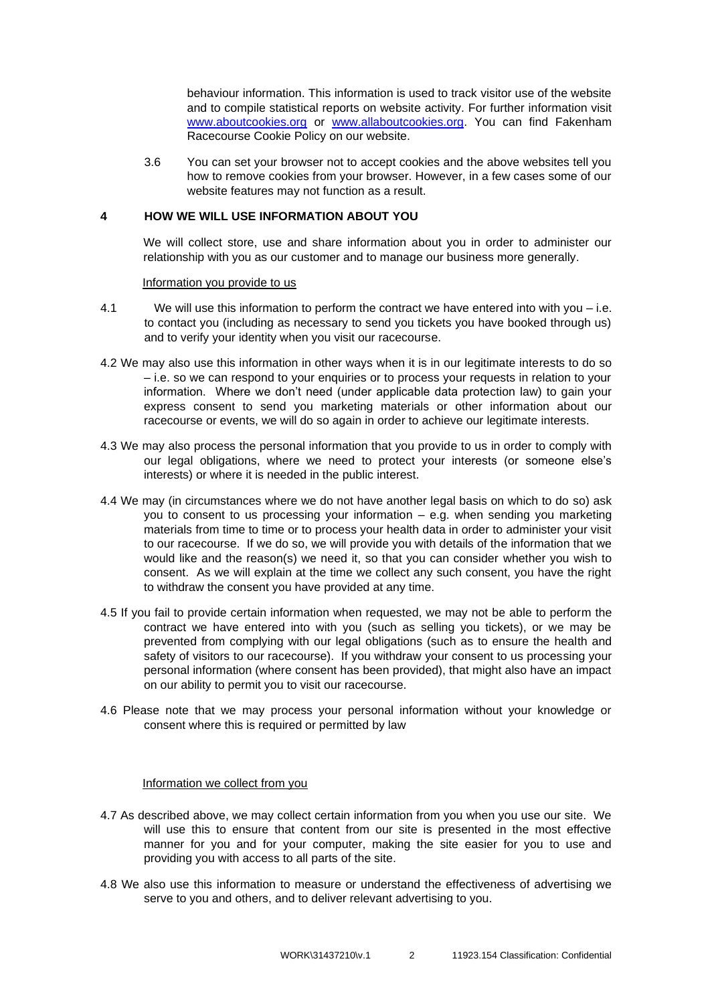behaviour information. This information is used to track visitor use of the website and to compile statistical reports on website activity. For further information visit [www.aboutcookies.org](http://www.aboutcookies.org/) [o](http://www.aboutcookies.org/)r [www.allaboutcookies.org.](http://www.allaboutcookies.org/) You can find Fakenham Racecourse Cookie Policy on our website.

3.6 You can set your browser not to accept cookies and the above websites tell you how to remove cookies from your browser. However, in a few cases some of our website features may not function as a result.

## **4 HOW WE WILL USE INFORMATION ABOUT YOU**

We will collect store, use and share information about you in order to administer our relationship with you as our customer and to manage our business more generally.

#### Information you provide to us

- 4.1 We will use this information to perform the contract we have entered into with you i.e. to contact you (including as necessary to send you tickets you have booked through us) and to verify your identity when you visit our racecourse.
- 4.2 We may also use this information in other ways when it is in our legitimate interests to do so – i.e. so we can respond to your enquiries or to process your requests in relation to your information. Where we don't need (under applicable data protection law) to gain your express consent to send you marketing materials or other information about our racecourse or events, we will do so again in order to achieve our legitimate interests.
- 4.3 We may also process the personal information that you provide to us in order to comply with our legal obligations, where we need to protect your interests (or someone else's interests) or where it is needed in the public interest.
- 4.4 We may (in circumstances where we do not have another legal basis on which to do so) ask you to consent to us processing your information  $-$  e.g. when sending you marketing materials from time to time or to process your health data in order to administer your visit to our racecourse. If we do so, we will provide you with details of the information that we would like and the reason(s) we need it, so that you can consider whether you wish to consent. As we will explain at the time we collect any such consent, you have the right to withdraw the consent you have provided at any time.
- 4.5 If you fail to provide certain information when requested, we may not be able to perform the contract we have entered into with you (such as selling you tickets), or we may be prevented from complying with our legal obligations (such as to ensure the health and safety of visitors to our racecourse). If you withdraw your consent to us processing your personal information (where consent has been provided), that might also have an impact on our ability to permit you to visit our racecourse.
- 4.6 Please note that we may process your personal information without your knowledge or consent where this is required or permitted by law

#### Information we collect from you

- 4.7 As described above, we may collect certain information from you when you use our site. We will use this to ensure that content from our site is presented in the most effective manner for you and for your computer, making the site easier for you to use and providing you with access to all parts of the site.
- 4.8 We also use this information to measure or understand the effectiveness of advertising we serve to you and others, and to deliver relevant advertising to you.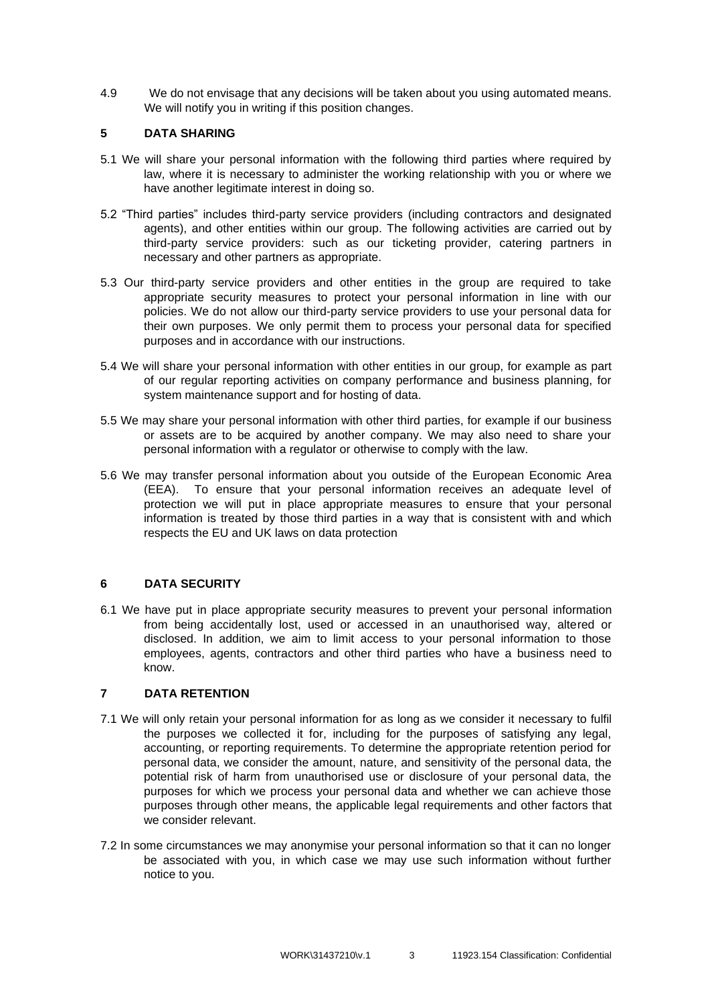4.9 We do not envisage that any decisions will be taken about you using automated means. We will notify you in writing if this position changes.

## **5 DATA SHARING**

- 5.1 We will share your personal information with the following third parties where required by law, where it is necessary to administer the working relationship with you or where we have another legitimate interest in doing so.
- 5.2 "Third parties" includes third-party service providers (including contractors and designated agents), and other entities within our group. The following activities are carried out by third-party service providers: such as our ticketing provider, catering partners in necessary and other partners as appropriate.
- 5.3 Our third-party service providers and other entities in the group are required to take appropriate security measures to protect your personal information in line with our policies. We do not allow our third-party service providers to use your personal data for their own purposes. We only permit them to process your personal data for specified purposes and in accordance with our instructions.
- 5.4 We will share your personal information with other entities in our group, for example as part of our regular reporting activities on company performance and business planning, for system maintenance support and for hosting of data.
- 5.5 We may share your personal information with other third parties, for example if our business or assets are to be acquired by another company. We may also need to share your personal information with a regulator or otherwise to comply with the law.
- 5.6 We may transfer personal information about you outside of the European Economic Area (EEA). To ensure that your personal information receives an adequate level of protection we will put in place appropriate measures to ensure that your personal information is treated by those third parties in a way that is consistent with and which respects the EU and UK laws on data protection

# **6 DATA SECURITY**

6.1 We have put in place appropriate security measures to prevent your personal information from being accidentally lost, used or accessed in an unauthorised way, altered or disclosed. In addition, we aim to limit access to your personal information to those employees, agents, contractors and other third parties who have a business need to know.

# **7 DATA RETENTION**

- 7.1 We will only retain your personal information for as long as we consider it necessary to fulfil the purposes we collected it for, including for the purposes of satisfying any legal, accounting, or reporting requirements. To determine the appropriate retention period for personal data, we consider the amount, nature, and sensitivity of the personal data, the potential risk of harm from unauthorised use or disclosure of your personal data, the purposes for which we process your personal data and whether we can achieve those purposes through other means, the applicable legal requirements and other factors that we consider relevant.
- 7.2 In some circumstances we may anonymise your personal information so that it can no longer be associated with you, in which case we may use such information without further notice to you.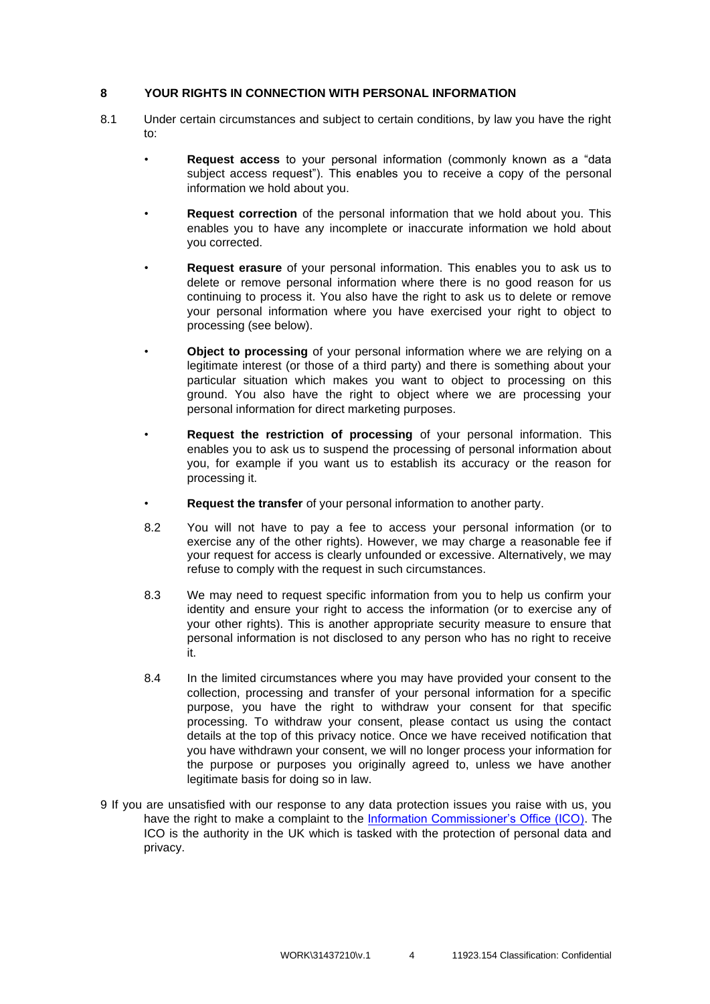## **8 YOUR RIGHTS IN CONNECTION WITH PERSONAL INFORMATION**

- 8.1 Under certain circumstances and subject to certain conditions, by law you have the right to:
	- **Request access** to your personal information (commonly known as a "data subject access request"). This enables you to receive a copy of the personal information we hold about you.
	- **Request correction** of the personal information that we hold about you. This enables you to have any incomplete or inaccurate information we hold about you corrected.
	- **Request erasure** of your personal information. This enables you to ask us to delete or remove personal information where there is no good reason for us continuing to process it. You also have the right to ask us to delete or remove your personal information where you have exercised your right to object to processing (see below).
	- **Object to processing** of your personal information where we are relying on a legitimate interest (or those of a third party) and there is something about your particular situation which makes you want to object to processing on this ground. You also have the right to object where we are processing your personal information for direct marketing purposes.
	- **Request the restriction of processing** of your personal information. This enables you to ask us to suspend the processing of personal information about you, for example if you want us to establish its accuracy or the reason for processing it.
	- **Request the transfer** of your personal information to another party.
	- 8.2 You will not have to pay a fee to access your personal information (or to exercise any of the other rights). However, we may charge a reasonable fee if your request for access is clearly unfounded or excessive. Alternatively, we may refuse to comply with the request in such circumstances.
	- 8.3 We may need to request specific information from you to help us confirm your identity and ensure your right to access the information (or to exercise any of your other rights). This is another appropriate security measure to ensure that personal information is not disclosed to any person who has no right to receive it.
	- 8.4 In the limited circumstances where you may have provided your consent to the collection, processing and transfer of your personal information for a specific purpose, you have the right to withdraw your consent for that specific processing. To withdraw your consent, please contact us using the contact details at the top of this privacy notice. Once we have received notification that you have withdrawn your consent, we will no longer process your information for the purpose or purposes you originally agreed to, unless we have another legitimate basis for doing so in law.
- 9 If you are unsatisfied with our response to any data protection issues you raise with us, you have the right to make a complaint to the [Information Commissioner's Office \(ICO\).](https://ico.org.uk/concerns/) The ICO is the authority in the UK which is tasked with the protection of personal data and privacy.